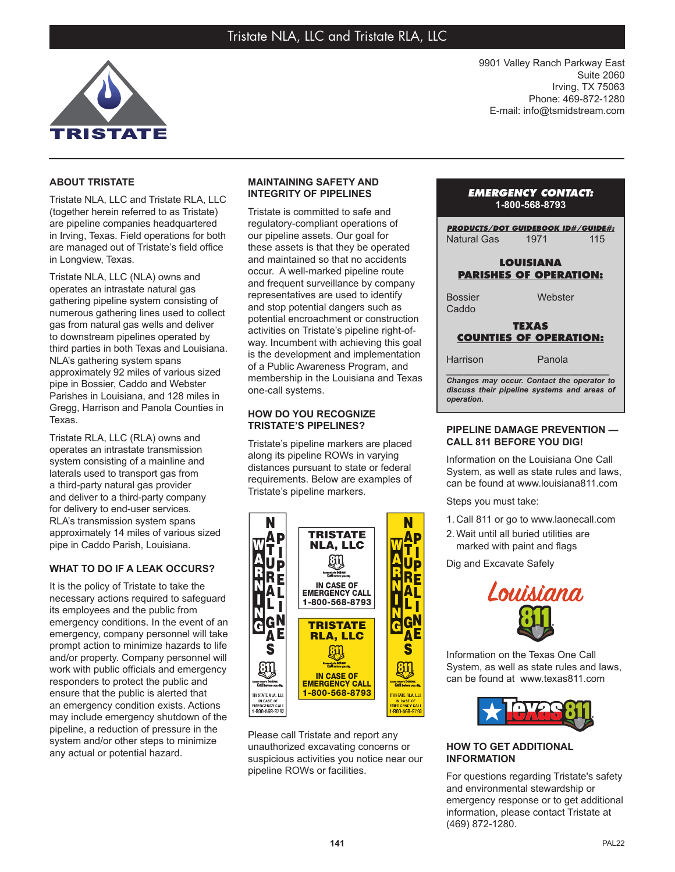

9901 Valley Ranch Parkway East Suite 2060 Irving, TX 75063 Phone: 469-872-1280 E-mail: info@tsmidstream.com

# **ABOUT TRISTATE**

Tristate NLA, LLC and Tristate RLA, LLC (together herein referred to as Tristate) are pipeline companies headquartered in Irving, Texas. Field operations for both are managed out of Tristate's field office in Longview, Texas.

Tristate NLA, LLC (NLA) owns and operates an intrastate natural gas gathering pipeline system consisting of numerous gathering lines used to collect gas from natural gas wells and deliver to downstream pipelines operated by third parties in both Texas and Louisiana. NLA's gathering system spans approximately 92 miles of various sized pipe in Bossier, Caddo and Webster Parishes in Louisiana, and 128 miles in Gregg, Harrison and Panola Counties in Texas.

Tristate RLA, LLC (RLA) owns and operates an intrastate transmission system consisting of a mainline and laterals used to transport gas from a third-party natural gas provider and deliver to a third-party company for delivery to end-user services. RLA's transmission system spans approximately 14 miles of various sized pipe in Caddo Parish, Louisiana.

# **WHAT TO DO IF A LEAK OCCURS?**

It is the policy of Tristate to take the necessary actions required to safeguard its employees and the public from emergency conditions. In the event of an emergency, company personnel will take prompt action to minimize hazards to life and/or property. Company personnel will work with public officials and emergency responders to protect the public and ensure that the public is alerted that an emergency condition exists. Actions may include emergency shutdown of the pipeline, a reduction of pressure in the system and/or other steps to minimize any actual or potential hazard.

### **MAINTAINING SAFETY AND INTEGRITY OF PIPELINES**

Tristate is committed to safe and regulatory-compliant operations of our pipeline assets. Our goal for these assets is that they be operated and maintained so that no accidents occur. A well-marked pipeline route and frequent surveillance by company representatives are used to identify and stop potential dangers such as potential encroachment or construction activities on Tristate's pipeline right-ofway. Incumbent with achieving this goal is the development and implementation of a Public Awareness Program, and membership in the Louisiana and Texas one-call systems.

#### **HOW DO YOU RECOGNIZE TRISTATE'S PIPELINES?**

Tristate's pipeline markers are placed along its pipeline ROWs in varying distances pursuant to state or federal requirements. Below are examples of Tristate's pipeline markers.



Please call Tristate and report any unauthorized excavating concerns or suspicious activities you notice near our pipeline ROWs or facilities.

## *EMERGENCY CONTACT:* **1-800-568-8793**

*PRODUCTS/DOT GUIDEBOOK ID#/GUIDE#:* Natural Gas 1971 115

### **LOUISIANA PARISHES OF OPERATION:**

Bossier Caddo

**Webster** 

## **TEXAS COUNTIES OF OPERATION:**

Harrison Panola

*\_\_\_\_\_\_\_\_\_\_\_\_\_\_\_\_\_\_\_\_\_\_\_\_\_\_\_\_\_\_\_\_\_\_\_\_\_\_ Changes may occur. Contact the operator to discuss their pipeline systems and areas of operation.*

#### **PIPELINE DAMAGE PREVENTION — CALL 811 BEFORE YOU DIG!**

Information on the Louisiana One Call System, as well as state rules and laws, can be found at www.louisiana811.com

Steps you must take:

- 1. Call 811 or go to www.laonecall.com
- 2. Wait until all buried utilities are marked with paint and flags

Dig and Excavate Safely



Information on the Texas One Call System, as well as state rules and laws, can be found at www.texas811.com



#### **HOW TO GET ADDITIONAL INFORMATION**

For questions regarding Tristate's safety and environmental stewardship or emergency response or to get additional information, please contact Tristate at (469) 872-1280.